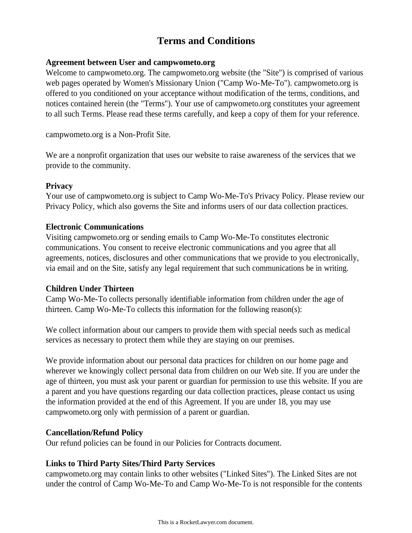# **Terms and Conditions**

#### **Agreement between User and campwometo.org**

Welcome to campwometo.org. The campwometo.org website (the "Site") is comprised of various web pages operated by Women's Missionary Union ("Camp Wo-Me-To"). campwometo.org is offered to you conditioned on your acceptance without modification of the terms, conditions, and notices contained herein (the "Terms"). Your use of campwometo.org constitutes your agreement to all such Terms. Please read these terms carefully, and keep a copy of them for your reference.

campwometo.org is a Non-Profit Site.

We are a nonprofit organization that uses our website to raise awareness of the services that we provide to the community.

#### **Privacy**

Your use of campwometo.org is subject to Camp Wo-Me-To's Privacy Policy. Please review our Privacy Policy, which also governs the Site and informs users of our data collection practices.

# **Electronic Communications**

Visiting campwometo.org or sending emails to Camp Wo-Me-To constitutes electronic communications. You consent to receive electronic communications and you agree that all agreements, notices, disclosures and other communications that we provide to you electronically, via email and on the Site, satisfy any legal requirement that such communications be in writing.

#### **Children Under Thirteen**

Camp Wo-Me-To collects personally identifiable information from children under the age of thirteen. Camp Wo-Me-To collects this information for the following reason(s):

We collect information about our campers to provide them with special needs such as medical services as necessary to protect them while they are staying on our premises.

We provide information about our personal data practices for children on our home page and wherever we knowingly collect personal data from children on our Web site. If you are under the age of thirteen, you must ask your parent or guardian for permission to use this website. If you are a parent and you have questions regarding our data collection practices, please contact us using the information provided at the end of this Agreement. If you are under 18, you may use campwometo.org only with permission of a parent or guardian.

# **Cancellation/Refund Policy**

Our refund policies can be found in our Policies for Contracts document.

# **Links to Third Party Sites/Third Party Services**

campwometo.org may contain links to other websites ("Linked Sites"). The Linked Sites are not under the control of Camp Wo-Me-To and Camp Wo-Me-To is not responsible for the contents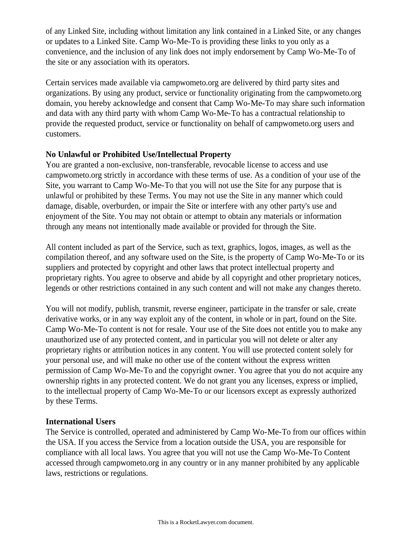of any Linked Site, including without limitation any link contained in a Linked Site, or any changes or updates to a Linked Site. Camp Wo-Me-To is providing these links to you only as a convenience, and the inclusion of any link does not imply endorsement by Camp Wo-Me-To of the site or any association with its operators.

Certain services made available via campwometo.org are delivered by third party sites and organizations. By using any product, service or functionality originating from the campwometo.org domain, you hereby acknowledge and consent that Camp Wo-Me-To may share such information and data with any third party with whom Camp Wo-Me-To has a contractual relationship to provide the requested product, service or functionality on behalf of campwometo.org users and customers.

# **No Unlawful or Prohibited Use/Intellectual Property**

You are granted a non-exclusive, non-transferable, revocable license to access and use campwometo.org strictly in accordance with these terms of use. As a condition of your use of the Site, you warrant to Camp Wo-Me-To that you will not use the Site for any purpose that is unlawful or prohibited by these Terms. You may not use the Site in any manner which could damage, disable, overburden, or impair the Site or interfere with any other party's use and enjoyment of the Site. You may not obtain or attempt to obtain any materials or information through any means not intentionally made available or provided for through the Site.

All content included as part of the Service, such as text, graphics, logos, images, as well as the compilation thereof, and any software used on the Site, is the property of Camp Wo-Me-To or its suppliers and protected by copyright and other laws that protect intellectual property and proprietary rights. You agree to observe and abide by all copyright and other proprietary notices, legends or other restrictions contained in any such content and will not make any changes thereto.

You will not modify, publish, transmit, reverse engineer, participate in the transfer or sale, create derivative works, or in any way exploit any of the content, in whole or in part, found on the Site. Camp Wo-Me-To content is not for resale. Your use of the Site does not entitle you to make any unauthorized use of any protected content, and in particular you will not delete or alter any proprietary rights or attribution notices in any content. You will use protected content solely for your personal use, and will make no other use of the content without the express written permission of Camp Wo-Me-To and the copyright owner. You agree that you do not acquire any ownership rights in any protected content. We do not grant you any licenses, express or implied, to the intellectual property of Camp Wo-Me-To or our licensors except as expressly authorized by these Terms.

# **International Users**

The Service is controlled, operated and administered by Camp Wo-Me-To from our offices within the USA. If you access the Service from a location outside the USA, you are responsible for compliance with all local laws. You agree that you will not use the Camp Wo-Me-To Content accessed through campwometo.org in any country or in any manner prohibited by any applicable laws, restrictions or regulations.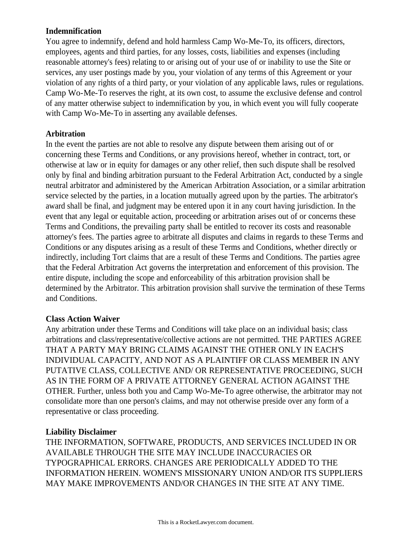### **Indemnification**

You agree to indemnify, defend and hold harmless Camp Wo-Me-To, its officers, directors, employees, agents and third parties, for any losses, costs, liabilities and expenses (including reasonable attorney's fees) relating to or arising out of your use of or inability to use the Site or services, any user postings made by you, your violation of any terms of this Agreement or your violation of any rights of a third party, or your violation of any applicable laws, rules or regulations. Camp Wo-Me-To reserves the right, at its own cost, to assume the exclusive defense and control of any matter otherwise subject to indemnification by you, in which event you will fully cooperate with Camp Wo-Me-To in asserting any available defenses.

#### **Arbitration**

In the event the parties are not able to resolve any dispute between them arising out of or concerning these Terms and Conditions, or any provisions hereof, whether in contract, tort, or otherwise at law or in equity for damages or any other relief, then such dispute shall be resolved only by final and binding arbitration pursuant to the Federal Arbitration Act, conducted by a single neutral arbitrator and administered by the American Arbitration Association, or a similar arbitration service selected by the parties, in a location mutually agreed upon by the parties. The arbitrator's award shall be final, and judgment may be entered upon it in any court having jurisdiction. In the event that any legal or equitable action, proceeding or arbitration arises out of or concerns these Terms and Conditions, the prevailing party shall be entitled to recover its costs and reasonable attorney's fees. The parties agree to arbitrate all disputes and claims in regards to these Terms and Conditions or any disputes arising as a result of these Terms and Conditions, whether directly or indirectly, including Tort claims that are a result of these Terms and Conditions. The parties agree that the Federal Arbitration Act governs the interpretation and enforcement of this provision. The entire dispute, including the scope and enforceability of this arbitration provision shall be determined by the Arbitrator. This arbitration provision shall survive the termination of these Terms and Conditions.

#### **Class Action Waiver**

Any arbitration under these Terms and Conditions will take place on an individual basis; class arbitrations and class/representative/collective actions are not permitted. THE PARTIES AGREE THAT A PARTY MAY BRING CLAIMS AGAINST THE OTHER ONLY IN EACH'S INDIVIDUAL CAPACITY, AND NOT AS A PLAINTIFF OR CLASS MEMBER IN ANY PUTATIVE CLASS, COLLECTIVE AND/ OR REPRESENTATIVE PROCEEDING, SUCH AS IN THE FORM OF A PRIVATE ATTORNEY GENERAL ACTION AGAINST THE OTHER. Further, unless both you and Camp Wo-Me-To agree otherwise, the arbitrator may not consolidate more than one person's claims, and may not otherwise preside over any form of a representative or class proceeding.

# **Liability Disclaimer**

THE INFORMATION, SOFTWARE, PRODUCTS, AND SERVICES INCLUDED IN OR AVAILABLE THROUGH THE SITE MAY INCLUDE INACCURACIES OR TYPOGRAPHICAL ERRORS. CHANGES ARE PERIODICALLY ADDED TO THE INFORMATION HEREIN. WOMEN'S MISSIONARY UNION AND/OR ITS SUPPLIERS MAY MAKE IMPROVEMENTS AND/OR CHANGES IN THE SITE AT ANY TIME.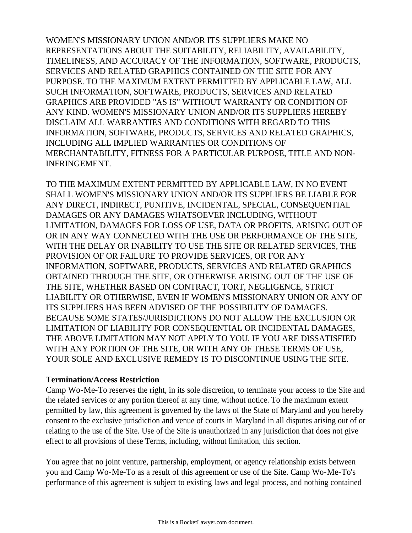WOMEN'S MISSIONARY UNION AND/OR ITS SUPPLIERS MAKE NO REPRESENTATIONS ABOUT THE SUITABILITY, RELIABILITY, AVAILABILITY, TIMELINESS, AND ACCURACY OF THE INFORMATION, SOFTWARE, PRODUCTS, SERVICES AND RELATED GRAPHICS CONTAINED ON THE SITE FOR ANY PURPOSE. TO THE MAXIMUM EXTENT PERMITTED BY APPLICABLE LAW, ALL SUCH INFORMATION, SOFTWARE, PRODUCTS, SERVICES AND RELATED GRAPHICS ARE PROVIDED "AS IS" WITHOUT WARRANTY OR CONDITION OF ANY KIND. WOMEN'S MISSIONARY UNION AND/OR ITS SUPPLIERS HEREBY DISCLAIM ALL WARRANTIES AND CONDITIONS WITH REGARD TO THIS INFORMATION, SOFTWARE, PRODUCTS, SERVICES AND RELATED GRAPHICS, INCLUDING ALL IMPLIED WARRANTIES OR CONDITIONS OF MERCHANTABILITY, FITNESS FOR A PARTICULAR PURPOSE, TITLE AND NON-INFRINGEMENT.

TO THE MAXIMUM EXTENT PERMITTED BY APPLICABLE LAW, IN NO EVENT SHALL WOMEN'S MISSIONARY UNION AND/OR ITS SUPPLIERS BE LIABLE FOR ANY DIRECT, INDIRECT, PUNITIVE, INCIDENTAL, SPECIAL, CONSEQUENTIAL DAMAGES OR ANY DAMAGES WHATSOEVER INCLUDING, WITHOUT LIMITATION, DAMAGES FOR LOSS OF USE, DATA OR PROFITS, ARISING OUT OF OR IN ANY WAY CONNECTED WITH THE USE OR PERFORMANCE OF THE SITE, WITH THE DELAY OR INABILITY TO USE THE SITE OR RELATED SERVICES, THE PROVISION OF OR FAILURE TO PROVIDE SERVICES, OR FOR ANY INFORMATION, SOFTWARE, PRODUCTS, SERVICES AND RELATED GRAPHICS OBTAINED THROUGH THE SITE, OR OTHERWISE ARISING OUT OF THE USE OF THE SITE, WHETHER BASED ON CONTRACT, TORT, NEGLIGENCE, STRICT LIABILITY OR OTHERWISE, EVEN IF WOMEN'S MISSIONARY UNION OR ANY OF ITS SUPPLIERS HAS BEEN ADVISED OF THE POSSIBILITY OF DAMAGES. BECAUSE SOME STATES/JURISDICTIONS DO NOT ALLOW THE EXCLUSION OR LIMITATION OF LIABILITY FOR CONSEQUENTIAL OR INCIDENTAL DAMAGES, THE ABOVE LIMITATION MAY NOT APPLY TO YOU. IF YOU ARE DISSATISFIED WITH ANY PORTION OF THE SITE, OR WITH ANY OF THESE TERMS OF USE, YOUR SOLE AND EXCLUSIVE REMEDY IS TO DISCONTINUE USING THE SITE.

# **Termination/Access Restriction**

Camp Wo-Me-To reserves the right, in its sole discretion, to terminate your access to the Site and the related services or any portion thereof at any time, without notice. To the maximum extent permitted by law, this agreement is governed by the laws of the State of Maryland and you hereby consent to the exclusive jurisdiction and venue of courts in Maryland in all disputes arising out of or relating to the use of the Site. Use of the Site is unauthorized in any jurisdiction that does not give effect to all provisions of these Terms, including, without limitation, this section.

You agree that no joint venture, partnership, employment, or agency relationship exists between you and Camp Wo-Me-To as a result of this agreement or use of the Site. Camp Wo-Me-To's performance of this agreement is subject to existing laws and legal process, and nothing contained